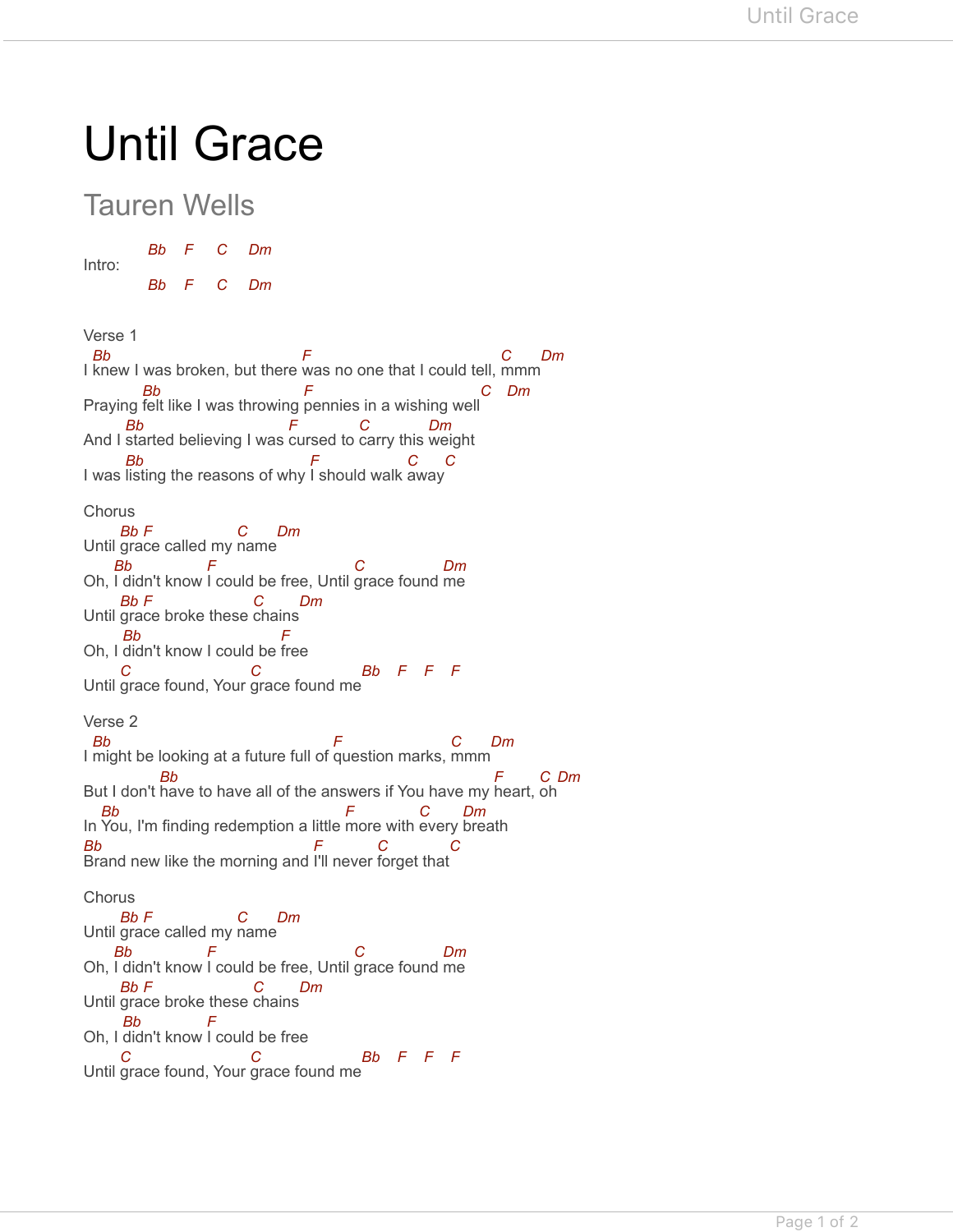## Until Grace

## Tauren Wells

Intro: *Bb F C Dm*

*Bb F C Dm*

Verse 1 I knew I was broken, but there was no one that I could tell, mmm Praying felt like I was throwing pennies in a wishing well And I started believing I was cursed to carry this weight I was listing the reasons of why I should walk away Chorus Until grace called my name Oh, I didn't know I could be free, Until grace found me Until grace broke these chains Oh, I didn't know I could be free Until grace found, Your grace found me Verse 2 I might be looking at a future full of question marks, mmm But I don't have to have all of the answers if You have my heart, oh In You, I'm finding redemption a little more with every breath Brand new like the morning and I'll never forget that **Chorus** Until grace called my name Oh, I didn't know I could be free, Until grace found me Until grace broke these chains Oh, I didn't know I could be free Until grace found, Your grace found me *Bb F C Dm Bb F C Dm Bb F C Dm Bb F C C Bb F C Dm Bb F C Dm Bb F C Dm Bb F C C Bb F F F Bb F C Dm Bb F C Dm Bb F C Dm Bb F C C Bb F C Dm Bb F C Dm Bb F C Dm Bb F C C Bb F F F*